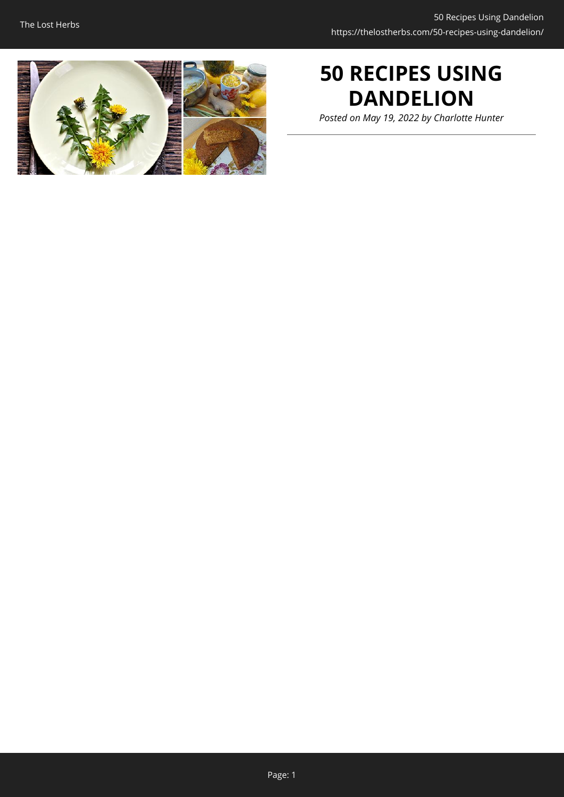

# **50 RECIPES USING DANDELION**

*Posted on May 19, 2022 by Charlotte Hunter*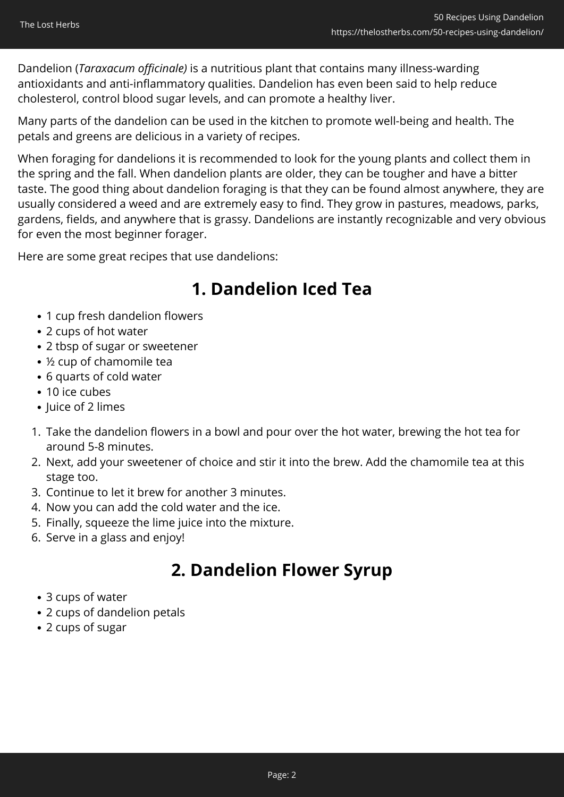Dandelion (*Taraxacum officinale)* is a nutritious plant that contains many illness-warding antioxidants and anti-inflammatory qualities. Dandelion has even been said to help reduce cholesterol, control blood sugar levels, and can promote a healthy liver.

Many parts of the dandelion can be used in the kitchen to promote well-being and health. The petals and greens are delicious in a variety of recipes.

When foraging for dandelions it is recommended to look for the young plants and collect them in the spring and the fall. When dandelion plants are older, they can be tougher and have a bitter taste. The good thing about dandelion foraging is that they can be found almost anywhere, they are usually considered a weed and are extremely easy to find. They grow in pastures, meadows, parks, gardens, fields, and anywhere that is grassy. Dandelions are instantly recognizable and very obvious for even the most beginner forager.

Here are some great recipes that use dandelions:

# **1. Dandelion Iced Tea**

- 1 cup fresh dandelion flowers
- 2 cups of hot water
- 2 tbsp of sugar or sweetener
- ½ cup of chamomile tea
- 6 quarts of cold water
- 10 ice cubes
- Juice of 2 limes
- 1. Take the dandelion flowers in a bowl and pour over the hot water, brewing the hot tea for around 5-8 minutes.
- 2. Next, add your sweetener of choice and stir it into the brew. Add the chamomile tea at this stage too.
- 3. Continue to let it brew for another 3 minutes.
- 4. Now you can add the cold water and the ice.
- 5. Finally, squeeze the lime juice into the mixture.
- 6. Serve in a glass and enjoy!

# **2. Dandelion Flower Syrup**

- 3 cups of water
- 2 cups of dandelion petals
- 2 cups of sugar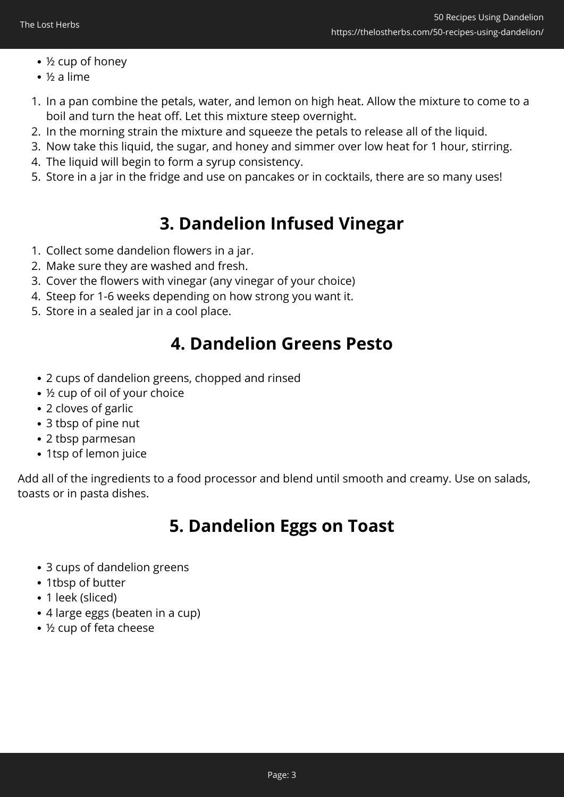- ½ cup of honey
- ½ a lime
- 1. In a pan combine the petals, water, and lemon on high heat. Allow the mixture to come to a boil and turn the heat off. Let this mixture steep overnight.
- 2. In the morning strain the mixture and squeeze the petals to release all of the liquid.
- 3. Now take this liquid, the sugar, and honey and simmer over low heat for 1 hour, stirring.
- 4. The liquid will begin to form a syrup consistency.
- 5. Store in a jar in the fridge and use on pancakes or in cocktails, there are so many uses!

# **3. Dandelion Infused Vinegar**

- 1. Collect some dandelion flowers in a jar.
- 2. Make sure they are washed and fresh.
- 3. Cover the flowers with vinegar (any vinegar of your choice)
- 4. Steep for 1-6 weeks depending on how strong you want it.
- 5. Store in a sealed jar in a cool place.

## **4. Dandelion Greens Pesto**

- 2 cups of dandelion greens, chopped and rinsed
- ½ cup of oil of your choice
- 2 cloves of garlic
- 3 tbsp of pine nut
- 2 tbsp parmesan
- 1tsp of lemon juice

Add all of the ingredients to a food processor and blend until smooth and creamy. Use on salads, toasts or in pasta dishes.

# **5. Dandelion Eggs on Toast**

- 3 cups of dandelion greens
- 1tbsp of butter
- 1 leek (sliced)
- 4 large eggs (beaten in a cup)
- ½ cup of feta cheese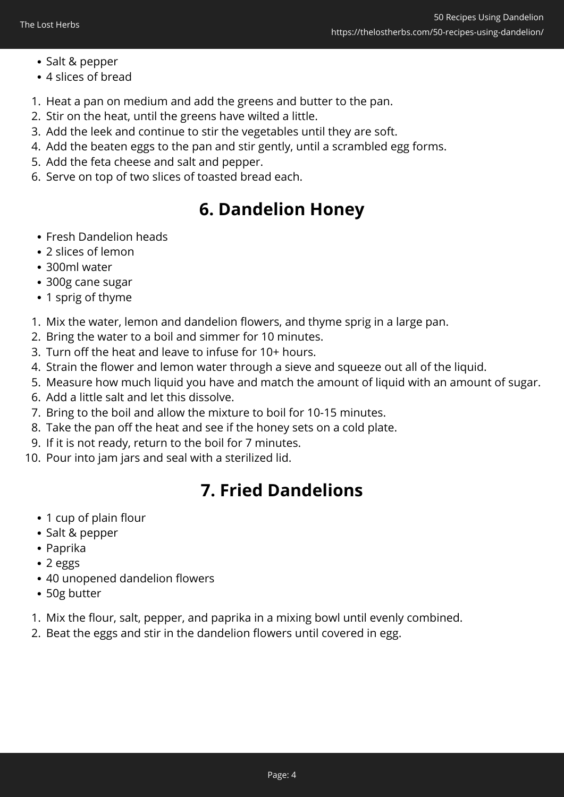- Salt & pepper
- 4 slices of bread
- 1. Heat a pan on medium and add the greens and butter to the pan.
- 2. Stir on the heat, until the greens have wilted a little.
- 3. Add the leek and continue to stir the vegetables until they are soft.
- 4. Add the beaten eggs to the pan and stir gently, until a scrambled egg forms.
- 5. Add the feta cheese and salt and pepper.
- 6. Serve on top of two slices of toasted bread each.

# **6. Dandelion Honey**

- Fresh Dandelion heads
- 2 slices of lemon
- 300ml water
- 300g cane sugar
- 1 sprig of thyme
- 1. Mix the water, lemon and dandelion flowers, and thyme sprig in a large pan.
- 2. Bring the water to a boil and simmer for 10 minutes.
- 3. Turn off the heat and leave to infuse for 10+ hours.
- 4. Strain the flower and lemon water through a sieve and squeeze out all of the liquid.
- 5. Measure how much liquid you have and match the amount of liquid with an amount of sugar.
- 6. Add a little salt and let this dissolve.
- 7. Bring to the boil and allow the mixture to boil for 10-15 minutes.
- 8. Take the pan off the heat and see if the honey sets on a cold plate.
- 9. If it is not ready, return to the boil for 7 minutes.
- 10. Pour into jam jars and seal with a sterilized lid.

# **7. Fried Dandelions**

- 1 cup of plain flour
- Salt & pepper
- Paprika
- 2 eggs
- 40 unopened dandelion flowers
- 50g butter
- 1. Mix the flour, salt, pepper, and paprika in a mixing bowl until evenly combined.
- 2. Beat the eggs and stir in the dandelion flowers until covered in egg.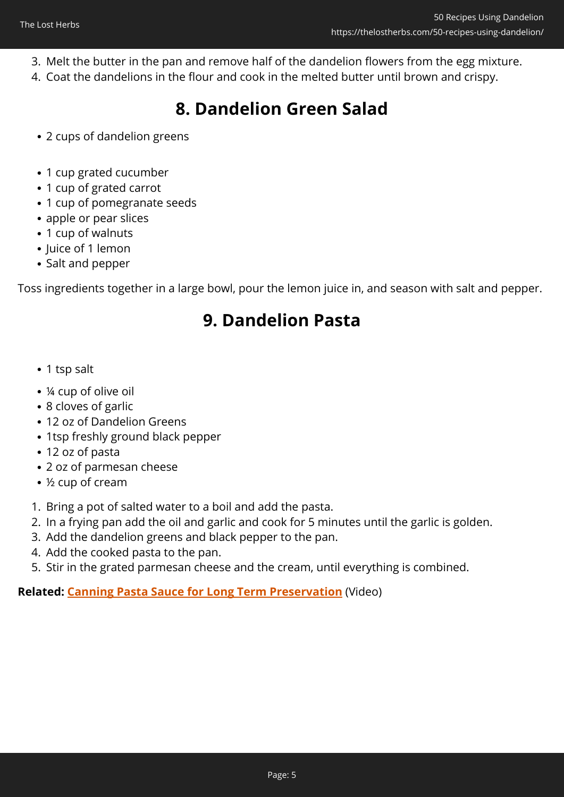- 3. Melt the butter in the pan and remove half of the dandelion flowers from the egg mixture.
- 4. Coat the dandelions in the flour and cook in the melted butter until brown and crispy.

# **8. Dandelion Green Salad**

- 2 cups of dandelion greens
- 1 cup grated cucumber
- 1 cup of grated carrot
- 1 cup of pomegranate seeds
- apple or pear slices
- 1 cup of walnuts
- Juice of 1 lemon
- Salt and pepper

Toss ingredients together in a large bowl, pour the lemon juice in, and season with salt and pepper.

## **9. Dandelion Pasta**

- 1 tsp salt
- ¼ cup of olive oil
- 8 cloves of garlic
- 12 oz of Dandelion Greens
- 1tsp freshly ground black pepper
- 12 oz of pasta
- 2 oz of parmesan cheese
- ½ cup of cream
- 1. Bring a pot of salted water to a boil and add the pasta.
- 2. In a frying pan add the oil and garlic and cook for 5 minutes until the garlic is golden.
- 3. Add the dandelion greens and black pepper to the pan.
- 4. Add the cooked pasta to the pan.
- 5. Stir in the grated parmesan cheese and the cream, until everything is combined.

**Related: [Canning Pasta Sauce for Long Term Preservation](https://hop.clickbank.net/?affiliate=easycellar&vendor=lostrec&tid=C02FiftyDandelionLSF6)** (Video)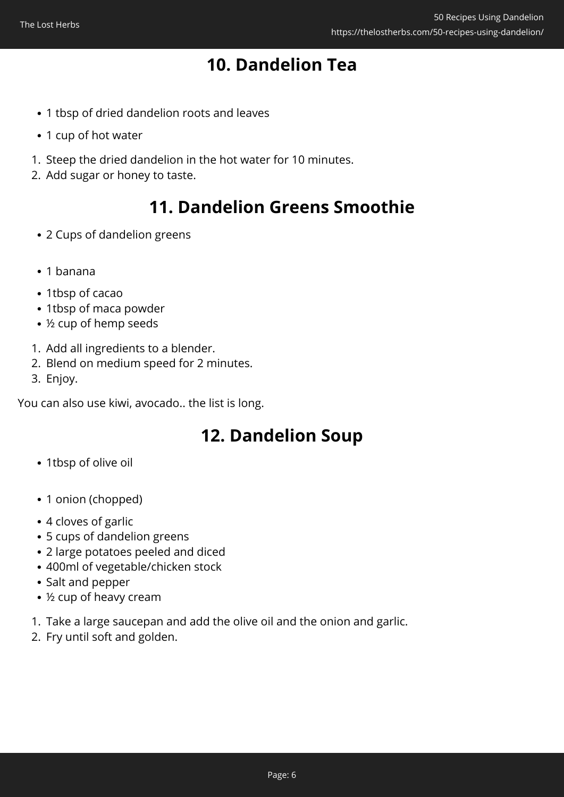# **10. Dandelion Tea**

- 1 tbsp of dried dandelion roots and leaves
- 1 cup of hot water
- 1. Steep the dried dandelion in the hot water for 10 minutes.
- 2. Add sugar or honey to taste.

## **11. Dandelion Greens Smoothie**

- 2 Cups of dandelion greens
- 1 banana
- 1tbsp of cacao
- 1tbsp of maca powder
- ½ cup of hemp seeds
- 1. Add all ingredients to a blender.
- 2. Blend on medium speed for 2 minutes.
- 3. Enjoy.

You can also use kiwi, avocado.. the list is long.

## **12. Dandelion Soup**

- 1tbsp of olive oil
- 1 onion (chopped)
- 4 cloves of garlic
- 5 cups of dandelion greens
- 2 large potatoes peeled and diced
- 400ml of vegetable/chicken stock
- Salt and pepper
- ½ cup of heavy cream
- 1. Take a large saucepan and add the olive oil and the onion and garlic.
- 2. Fry until soft and golden.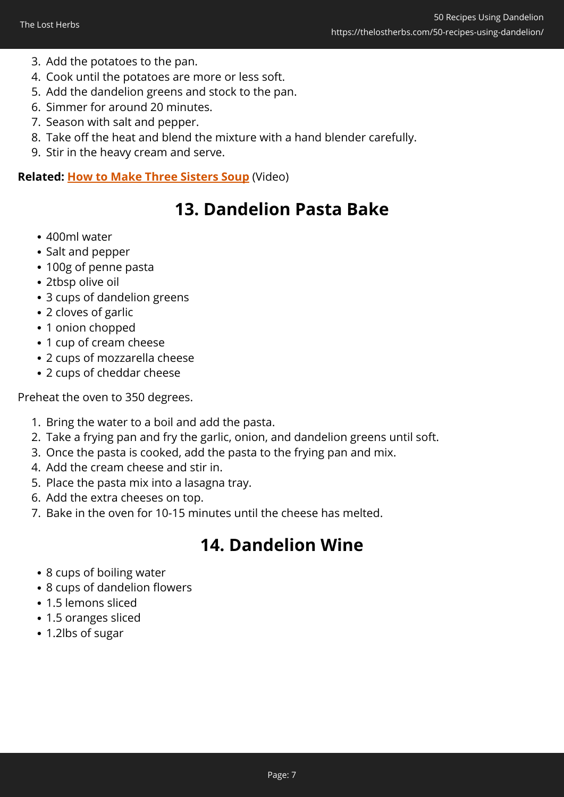- 3. Add the potatoes to the pan.
- 4. Cook until the potatoes are more or less soft.
- 5. Add the dandelion greens and stock to the pan.
- 6. Simmer for around 20 minutes.
- 7. Season with salt and pepper.
- 8. Take off the heat and blend the mixture with a hand blender carefully.
- 9. Stir in the heavy cream and serve.

#### **Related: [How to Make Three Sisters Soup](https://hop.clickbank.net/?affiliate=easycellar&vendor=lostrec&tid=C02FiftyDandelionLSF3)** (Video)

### **13. Dandelion Pasta Bake**

- 400ml water
- Salt and pepper
- 100g of penne pasta
- 2tbsp olive oil
- 3 cups of dandelion greens
- 2 cloves of garlic
- 1 onion chopped
- 1 cup of cream cheese
- 2 cups of mozzarella cheese
- 2 cups of cheddar cheese

Preheat the oven to 350 degrees.

- 1. Bring the water to a boil and add the pasta.
- 2. Take a frying pan and fry the garlic, onion, and dandelion greens until soft.
- 3. Once the pasta is cooked, add the pasta to the frying pan and mix.
- 4. Add the cream cheese and stir in.
- 5. Place the pasta mix into a lasagna tray.
- 6. Add the extra cheeses on top.
- 7. Bake in the oven for 10-15 minutes until the cheese has melted.

# **14. Dandelion Wine**

- 8 cups of boiling water
- 8 cups of dandelion flowers
- 1.5 lemons sliced
- 1.5 oranges sliced
- 1.2lbs of sugar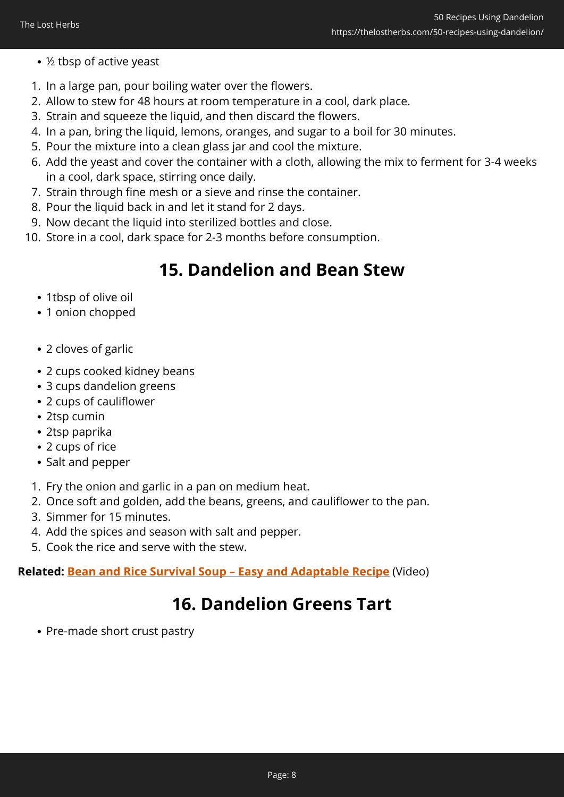- ½ tbsp of active yeast
- 1. In a large pan, pour boiling water over the flowers.
- 2. Allow to stew for 48 hours at room temperature in a cool, dark place.
- 3. Strain and squeeze the liquid, and then discard the flowers.
- 4. In a pan, bring the liquid, lemons, oranges, and sugar to a boil for 30 minutes.
- 5. Pour the mixture into a clean glass jar and cool the mixture.
- 6. Add the yeast and cover the container with a cloth, allowing the mix to ferment for 3-4 weeks in a cool, dark space, stirring once daily.
- 7. Strain through fine mesh or a sieve and rinse the container.
- 8. Pour the liquid back in and let it stand for 2 days.
- 9. Now decant the liquid into sterilized bottles and close.
- 10. Store in a cool, dark space for 2-3 months before consumption.

## **15. Dandelion and Bean Stew**

- 1tbsp of olive oil
- 1 onion chopped
- 2 cloves of garlic
- 2 cups cooked kidney beans
- 3 cups dandelion greens
- 2 cups of cauliflower
- 2tsp cumin
- 2tsp paprika
- 2 cups of rice
- Salt and pepper
- 1. Fry the onion and garlic in a pan on medium heat.
- 2. Once soft and golden, add the beans, greens, and cauliflower to the pan.
- 3. Simmer for 15 minutes.
- 4. Add the spices and season with salt and pepper.
- 5. Cook the rice and serve with the stew.

**Related: [Bean and Rice Survival Soup – Easy and Adaptable Recipe](https://hop.clickbank.net/?affiliate=easycellar&vendor=lostrec&tid=C02FiftyDandelionLSF4)** (Video)

# **16. Dandelion Greens Tart**

• Pre-made short crust pastry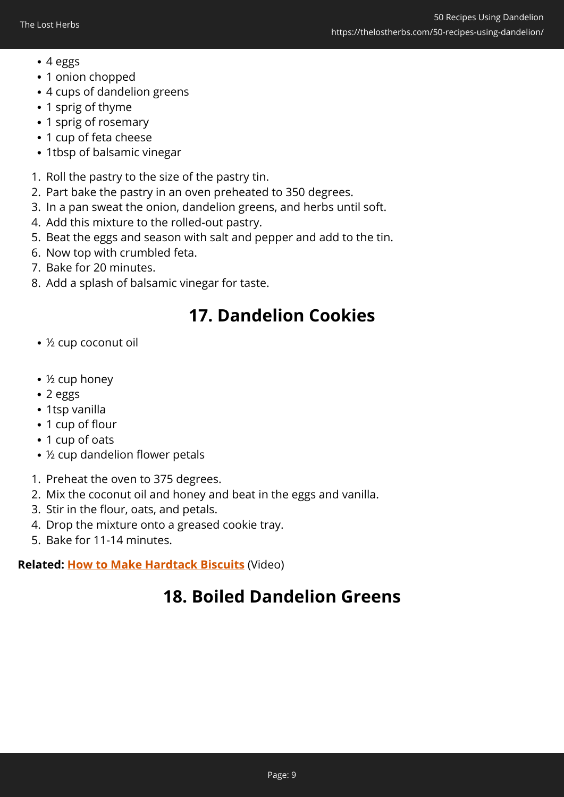- 4 eggs
- 1 onion chopped
- 4 cups of dandelion greens
- 1 sprig of thyme
- 1 sprig of rosemary
- 1 cup of feta cheese
- 1tbsp of balsamic vinegar
- 1. Roll the pastry to the size of the pastry tin.
- 2. Part bake the pastry in an oven preheated to 350 degrees.
- 3. In a pan sweat the onion, dandelion greens, and herbs until soft.
- 4. Add this mixture to the rolled-out pastry.
- 5. Beat the eggs and season with salt and pepper and add to the tin.
- 6. Now top with crumbled feta.
- 7. Bake for 20 minutes.
- 8. Add a splash of balsamic vinegar for taste.

# **17. Dandelion Cookies**

- ½ cup coconut oil
- ½ cup honey
- 2 eggs
- 1tsp vanilla
- 1 cup of flour
- 1 cup of oats
- ½ cup dandelion flower petals
- 1. Preheat the oven to 375 degrees.
- 2. Mix the coconut oil and honey and beat in the eggs and vanilla.
- 3. Stir in the flour, oats, and petals.
- 4. Drop the mixture onto a greased cookie tray.
- 5. Bake for 11-14 minutes.

#### **Related: [How to Make Hardtack Biscuits](https://hop.clickbank.net/?affiliate=easycellar&vendor=lostrec&tid=C02FiftyDandelionLSF9)** (Video)

# **18. Boiled Dandelion Greens**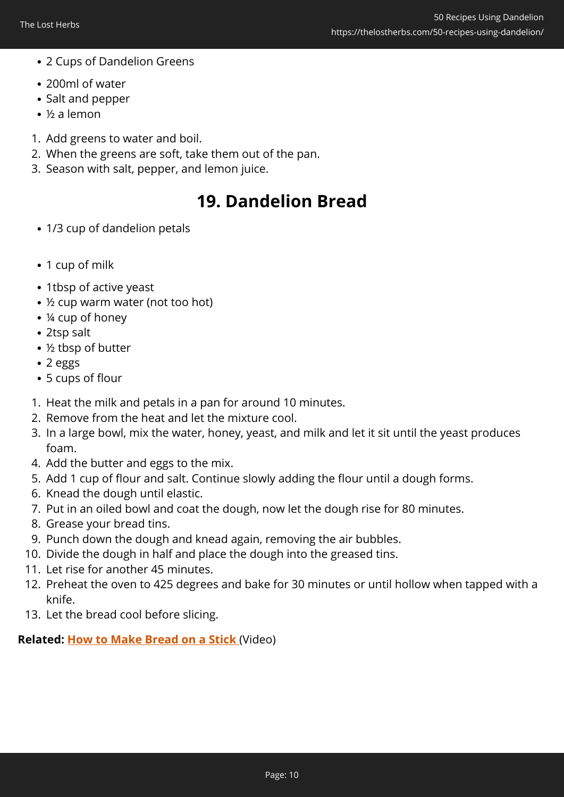- 2 Cups of Dandelion Greens
- 200ml of water
- Salt and pepper
- ½ a lemon
- 1. Add greens to water and boil.
- 2. When the greens are soft, take them out of the pan.
- 3. Season with salt, pepper, and lemon juice.

# **19. Dandelion Bread**

- 1/3 cup of dandelion petals
- 1 cup of milk
- 1tbsp of active yeast
- ½ cup warm water (not too hot)
- ¼ cup of honey
- 2tsp salt
- ½ tbsp of butter
- 2 eggs
- 5 cups of flour
- 1. Heat the milk and petals in a pan for around 10 minutes.
- 2. Remove from the heat and let the mixture cool.
- 3. In a large bowl, mix the water, honey, yeast, and milk and let it sit until the yeast produces foam.
- 4. Add the butter and eggs to the mix.
- 5. Add 1 cup of flour and salt. Continue slowly adding the flour until a dough forms.
- 6. Knead the dough until elastic.
- 7. Put in an oiled bowl and coat the dough, now let the dough rise for 80 minutes.
- 8. Grease your bread tins.
- 9. Punch down the dough and knead again, removing the air bubbles.
- 10. Divide the dough in half and place the dough into the greased tins.
- 11. Let rise for another 45 minutes.
- 12. Preheat the oven to 425 degrees and bake for 30 minutes or until hollow when tapped with a knife.
- 13. Let the bread cool before slicing.

#### **Related: [How to Make Bread on a Stick](https://hop.clickbank.net/?affiliate=easycellar&vendor=lostrec&tid=C02FiftyDandelionLSF1)** (Video)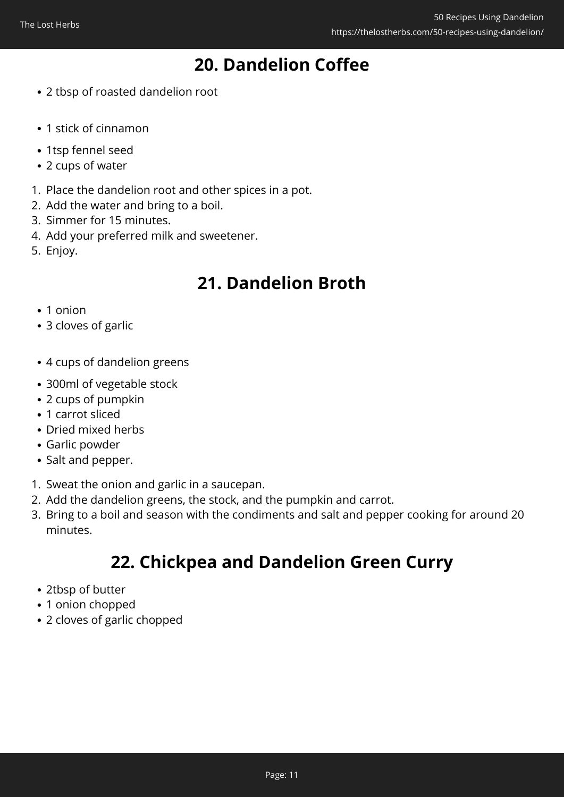# **20. Dandelion Coffee**

- 2 tbsp of roasted dandelion root
- 1 stick of cinnamon
- 1tsp fennel seed
- 2 cups of water
- 1. Place the dandelion root and other spices in a pot.
- 2. Add the water and bring to a boil.
- 3. Simmer for 15 minutes.
- 4. Add your preferred milk and sweetener.
- 5. Enjoy.

### **21. Dandelion Broth**

- 1 onion
- 3 cloves of garlic
- 4 cups of dandelion greens
- 300ml of vegetable stock
- 2 cups of pumpkin
- 1 carrot sliced
- Dried mixed herbs
- Garlic powder
- Salt and pepper.
- 1. Sweat the onion and garlic in a saucepan.
- 2. Add the dandelion greens, the stock, and the pumpkin and carrot.
- 3. Bring to a boil and season with the condiments and salt and pepper cooking for around 20 minutes.

## **22. Chickpea and Dandelion Green Curry**

- 2tbsp of butter
- 1 onion chopped
- 2 cloves of garlic chopped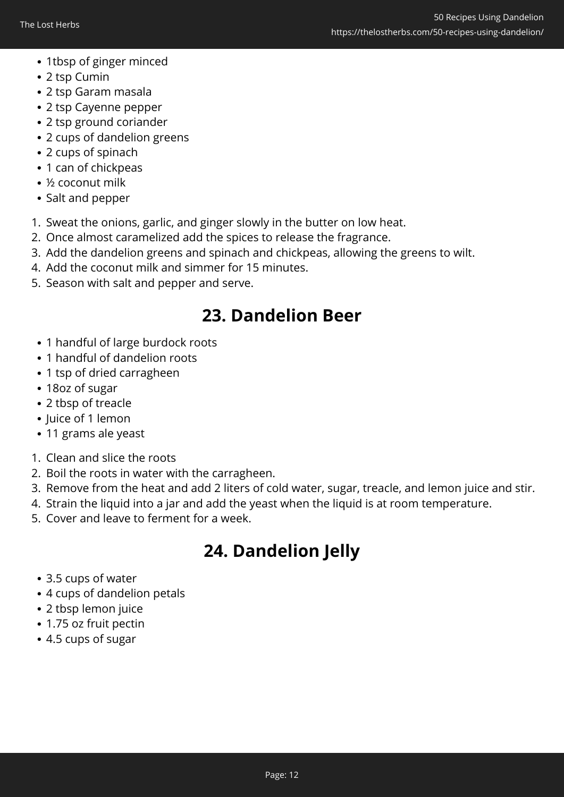- 1tbsp of ginger minced
- 2 tsp Cumin
- 2 tsp Garam masala
- 2 tsp Cayenne pepper
- 2 tsp ground coriander
- 2 cups of dandelion greens
- 2 cups of spinach
- 1 can of chickpeas
- ½ coconut milk
- Salt and pepper
- 1. Sweat the onions, garlic, and ginger slowly in the butter on low heat.
- 2. Once almost caramelized add the spices to release the fragrance.
- 3. Add the dandelion greens and spinach and chickpeas, allowing the greens to wilt.
- 4. Add the coconut milk and simmer for 15 minutes.
- 5. Season with salt and pepper and serve.

## **23. Dandelion Beer**

- 1 handful of large burdock roots
- 1 handful of dandelion roots
- 1 tsp of dried carragheen
- 18oz of sugar
- 2 tbsp of treacle
- Juice of 1 lemon
- 11 grams ale yeast
- 1. Clean and slice the roots
- 2. Boil the roots in water with the carragheen.
- 3. Remove from the heat and add 2 liters of cold water, sugar, treacle, and lemon juice and stir.
- 4. Strain the liquid into a jar and add the yeast when the liquid is at room temperature.
- 5. Cover and leave to ferment for a week.

# **24. Dandelion Jelly**

- 3.5 cups of water
- 4 cups of dandelion petals
- 2 tbsp lemon juice
- 1.75 oz fruit pectin
- 4.5 cups of sugar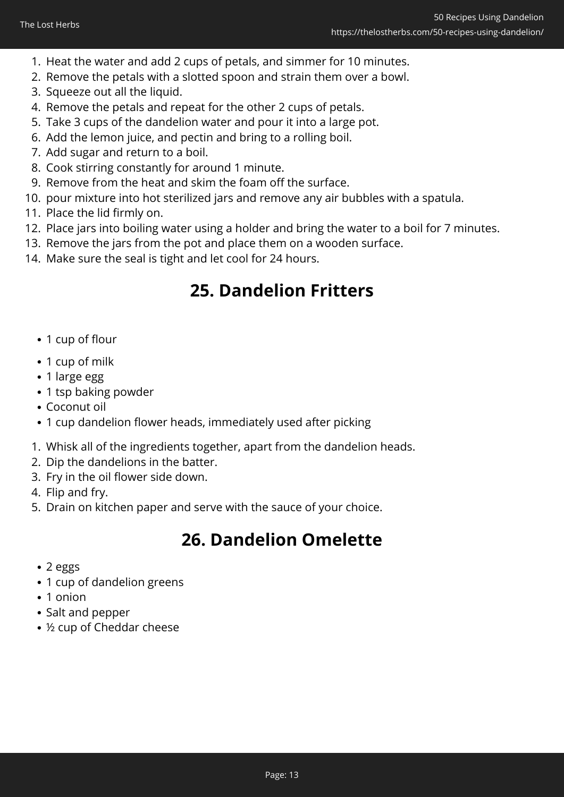- 1. Heat the water and add 2 cups of petals, and simmer for 10 minutes.
- 2. Remove the petals with a slotted spoon and strain them over a bowl.
- 3. Squeeze out all the liquid.
- 4. Remove the petals and repeat for the other 2 cups of petals.
- 5. Take 3 cups of the dandelion water and pour it into a large pot.
- 6. Add the lemon juice, and pectin and bring to a rolling boil.
- 7. Add sugar and return to a boil.
- 8. Cook stirring constantly for around 1 minute.
- 9. Remove from the heat and skim the foam off the surface.
- 10. pour mixture into hot sterilized jars and remove any air bubbles with a spatula.
- 11. Place the lid firmly on.
- 12. Place jars into boiling water using a holder and bring the water to a boil for 7 minutes.
- 13. Remove the jars from the pot and place them on a wooden surface.
- 14. Make sure the seal is tight and let cool for 24 hours.

# **25. Dandelion Fritters**

- 1 cup of flour
- 1 cup of milk
- 1 large egg
- 1 tsp baking powder
- Coconut oil
- 1 cup dandelion flower heads, immediately used after picking
- 1. Whisk all of the ingredients together, apart from the dandelion heads.
- 2. Dip the dandelions in the batter.
- 3. Fry in the oil flower side down.
- 4. Flip and fry.
- 5. Drain on kitchen paper and serve with the sauce of your choice.

# **26. Dandelion Omelette**

- 2 eggs
- 1 cup of dandelion greens
- 1 onion
- Salt and pepper
- ½ cup of Cheddar cheese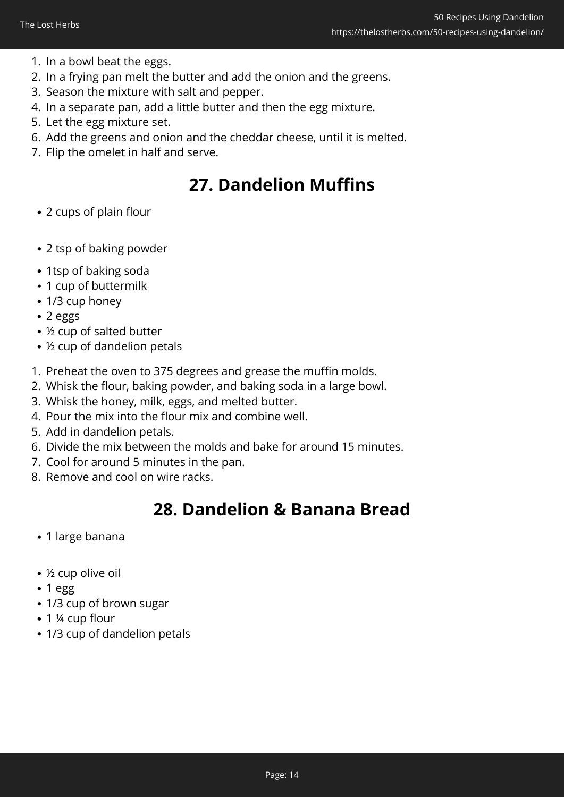- 1. In a bowl beat the eggs.
- 2. In a frying pan melt the butter and add the onion and the greens.
- 3. Season the mixture with salt and pepper.
- 4. In a separate pan, add a little butter and then the egg mixture.
- 5. Let the egg mixture set.
- 6. Add the greens and onion and the cheddar cheese, until it is melted.
- 7. Flip the omelet in half and serve.

# **27. Dandelion Muffins**

- 2 cups of plain flour
- 2 tsp of baking powder
- 1tsp of baking soda
- 1 cup of buttermilk
- 1/3 cup honey
- 2 eggs
- ½ cup of salted butter
- ½ cup of dandelion petals
- 1. Preheat the oven to 375 degrees and grease the muffin molds.
- 2. Whisk the flour, baking powder, and baking soda in a large bowl.
- 3. Whisk the honey, milk, eggs, and melted butter.
- 4. Pour the mix into the flour mix and combine well.
- 5. Add in dandelion petals.
- 6. Divide the mix between the molds and bake for around 15 minutes.
- 7. Cool for around 5 minutes in the pan.
- 8. Remove and cool on wire racks.

## **28. Dandelion & Banana Bread**

- 1 large banana
- ½ cup olive oil
- $\cdot$  1 egg
- 1/3 cup of brown sugar
- 1 ¼ cup flour
- 1/3 cup of dandelion petals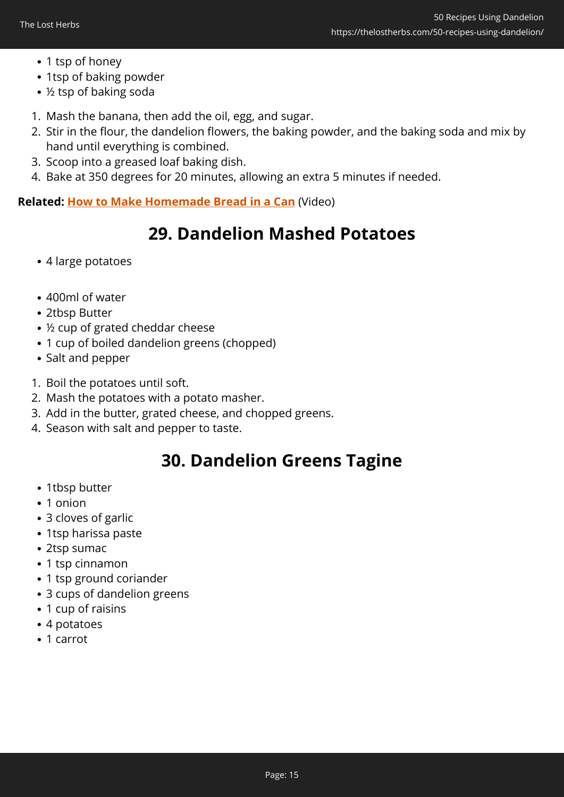- 1 tsp of honey
- 1tsp of baking powder
- ½ tsp of baking soda
- 1. Mash the banana, then add the oil, egg, and sugar.
- 2. Stir in the flour, the dandelion flowers, the baking powder, and the baking soda and mix by hand until everything is combined.
- 3. Scoop into a greased loaf baking dish.
- 4. Bake at 350 degrees for 20 minutes, allowing an extra 5 minutes if needed.

**Related: [How to Make Homemade Bread in a Can](https://hop.clickbank.net/?affiliate=easycellar&vendor=lostrec&tid=C02FiftyDandelionLSF2)** (Video)

## **29. Dandelion Mashed Potatoes**

- 4 large potatoes
- 400ml of water
- 2tbsp Butter
- ½ cup of grated cheddar cheese
- 1 cup of boiled dandelion greens (chopped)
- Salt and pepper
- 1. Boil the potatoes until soft.
- 2. Mash the potatoes with a potato masher.
- 3. Add in the butter, grated cheese, and chopped greens.
- 4. Season with salt and pepper to taste.

# **30. Dandelion Greens Tagine**

- 1tbsp butter
- 1 onion
- 3 cloves of garlic
- 1tsp harissa paste
- 2tsp sumac
- 1 tsp cinnamon
- 1 tsp ground coriander
- 3 cups of dandelion greens
- 1 cup of raisins
- 4 potatoes
- 1 carrot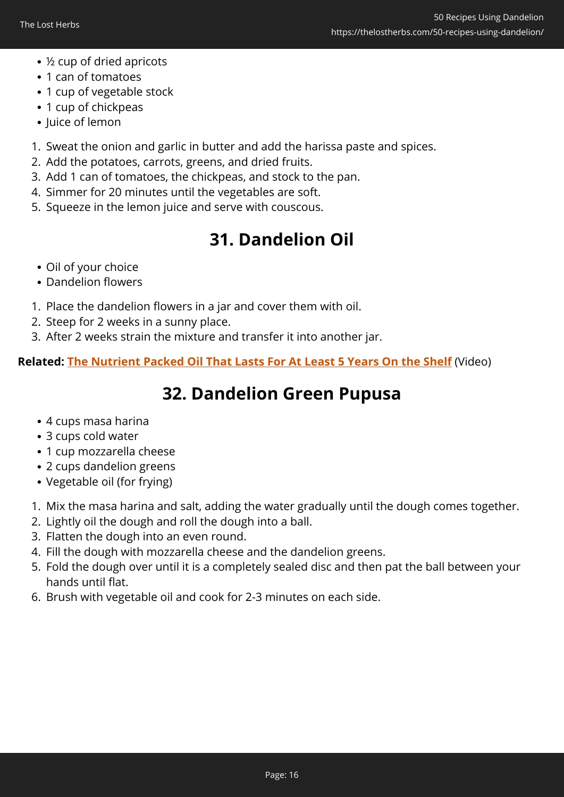- ½ cup of dried apricots
- 1 can of tomatoes
- 1 cup of vegetable stock
- 1 cup of chickpeas
- Juice of lemon
- 1. Sweat the onion and garlic in butter and add the harissa paste and spices.
- 2. Add the potatoes, carrots, greens, and dried fruits.
- 3. Add 1 can of tomatoes, the chickpeas, and stock to the pan.
- 4. Simmer for 20 minutes until the vegetables are soft.
- 5. Squeeze in the lemon juice and serve with couscous.

# **31. Dandelion Oil**

- Oil of your choice
- Dandelion flowers
- 1. Place the dandelion flowers in a jar and cover them with oil.
- 2. Steep for 2 weeks in a sunny place.
- 3. After 2 weeks strain the mixture and transfer it into another jar.

**Related: [The Nutrient Packed Oil That Lasts For At Least 5 Years On the Shelf](https://hop.clickbank.net/?affiliate=easycellar&vendor=lostrec&tid=C02FiftyDandelionLSF5)** (Video)

# **32. Dandelion Green Pupusa**

- 4 cups masa harina
- 3 cups cold water
- 1 cup mozzarella cheese
- 2 cups dandelion greens
- Vegetable oil (for frying)
- 1. Mix the masa harina and salt, adding the water gradually until the dough comes together.
- 2. Lightly oil the dough and roll the dough into a ball.
- 3. Flatten the dough into an even round.
- 4. Fill the dough with mozzarella cheese and the dandelion greens.
- 5. Fold the dough over until it is a completely sealed disc and then pat the ball between your hands until flat.
- 6. Brush with vegetable oil and cook for 2-3 minutes on each side.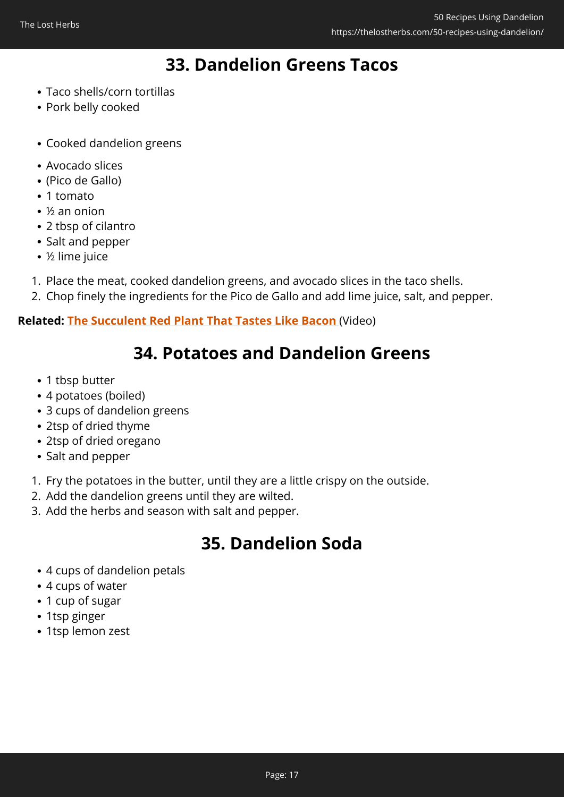# **33. Dandelion Greens Tacos**

- Taco shells/corn tortillas
- Pork belly cooked
- Cooked dandelion greens
- Avocado slices
- (Pico de Gallo)
- 1 tomato
- ½ an onion
- 2 tbsp of cilantro
- Salt and pepper
- ½ lime juice
- 1. Place the meat, cooked dandelion greens, and avocado slices in the taco shells.
- 2. Chop finely the ingredients for the Pico de Gallo and add lime juice, salt, and pepper.

#### **Related: [The Succulent Red Plant That Tastes Like Bacon](https://hop.clickbank.net/?affiliate=easycellar&vendor=wfguide&tid=C02FiftyDandelionFGW1)** (Video)

## **34. Potatoes and Dandelion Greens**

- 1 tbsp butter
- 4 potatoes (boiled)
- 3 cups of dandelion greens
- 2tsp of dried thyme
- 2tsp of dried oregano
- Salt and pepper
- 1. Fry the potatoes in the butter, until they are a little crispy on the outside.
- 2. Add the dandelion greens until they are wilted.
- 3. Add the herbs and season with salt and pepper.

# **35. Dandelion Soda**

- 4 cups of dandelion petals
- 4 cups of water
- 1 cup of sugar
- 1tsp ginger
- 1tsp lemon zest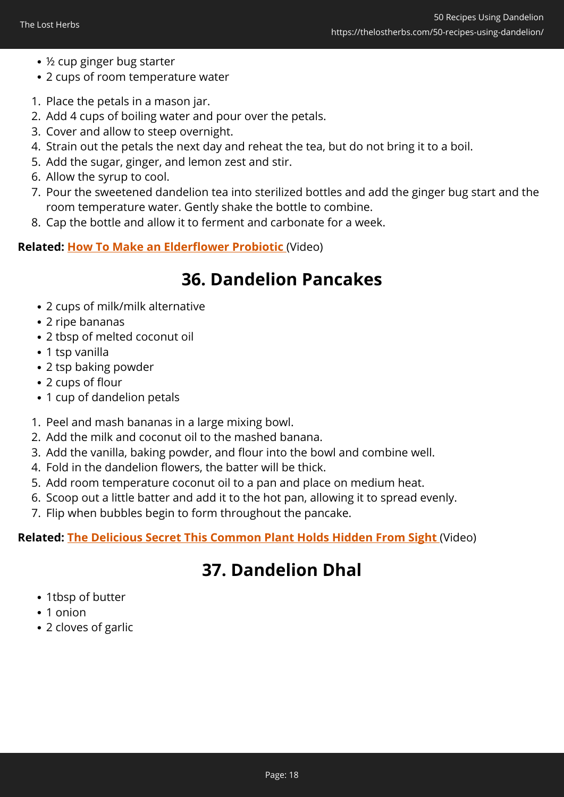- ½ cup ginger bug starter
- 2 cups of room temperature water
- 1. Place the petals in a mason jar.
- 2. Add 4 cups of boiling water and pour over the petals.
- 3. Cover and allow to steep overnight.
- 4. Strain out the petals the next day and reheat the tea, but do not bring it to a boil.
- 5. Add the sugar, ginger, and lemon zest and stir.
- 6. Allow the syrup to cool.
- 7. Pour the sweetened dandelion tea into sterilized bottles and add the ginger bug start and the room temperature water. Gently shake the bottle to combine.
- 8. Cap the bottle and allow it to ferment and carbonate for a week.

#### **Related: [How To Make an Elderflower Probiotic](https://hop.clickbank.net/?affiliate=easycellar&vendor=wfguide&tid=C02FiftyDandelionFGW2)** (Video)

# **36. Dandelion Pancakes**

- 2 cups of milk/milk alternative
- 2 ripe bananas
- 2 tbsp of melted coconut oil
- 1 tsp vanilla
- 2 tsp baking powder
- 2 cups of flour
- 1 cup of dandelion petals
- 1. Peel and mash bananas in a large mixing bowl.
- 2. Add the milk and coconut oil to the mashed banana.
- 3. Add the vanilla, baking powder, and flour into the bowl and combine well.
- 4. Fold in the dandelion flowers, the batter will be thick.
- 5. Add room temperature coconut oil to a pan and place on medium heat.
- 6. Scoop out a little batter and add it to the hot pan, allowing it to spread evenly.
- 7. Flip when bubbles begin to form throughout the pancake.

#### **Related: [The Delicious Secret This Common Plant Holds Hidden From Sight](https://hop.clickbank.net/?affiliate=easycellar&vendor=wfguide&tid=C02FiftyDandelionFGW4)** (Video)

# **37. Dandelion Dhal**

- 1tbsp of butter
- 1 onion
- 2 cloves of garlic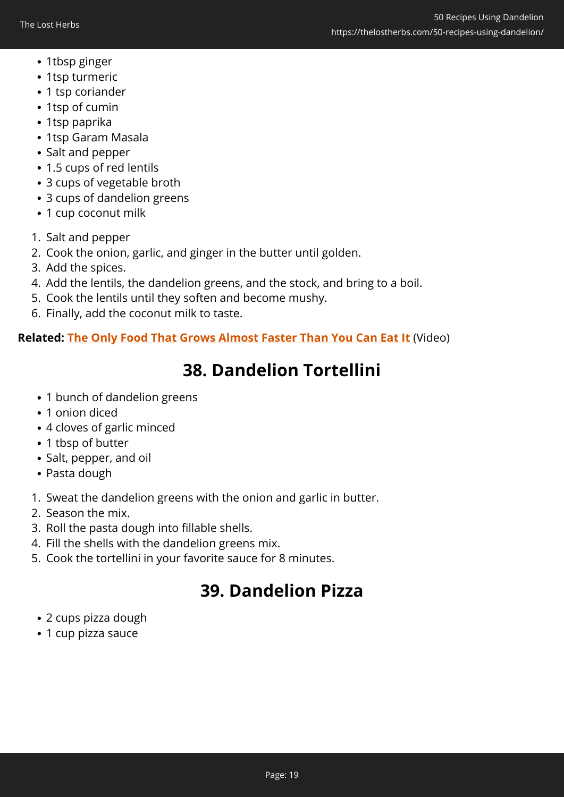- 1tbsp ginger
- 1tsp turmeric
- 1 tsp coriander
- 1tsp of cumin
- 1tsp paprika
- 1tsp Garam Masala
- Salt and pepper
- 1.5 cups of red lentils
- 3 cups of vegetable broth
- 3 cups of dandelion greens
- 1 cup coconut milk
- 1. Salt and pepper
- 2. Cook the onion, garlic, and ginger in the butter until golden.
- 3. Add the spices.
- 4. Add the lentils, the dandelion greens, and the stock, and bring to a boil.
- 5. Cook the lentils until they soften and become mushy.
- 6. Finally, add the coconut milk to taste.

**Related: [The Only Food That Grows Almost Faster Than You Can Eat It](https://hop.clickbank.net/?affiliate=easycellar&vendor=wfguide&tid=C02FiftyDandelionFGW3)** (Video)

# **38. Dandelion Tortellini**

- 1 bunch of dandelion greens
- 1 onion diced
- 4 cloves of garlic minced
- 1 tbsp of butter
- Salt, pepper, and oil
- Pasta dough
- 1. Sweat the dandelion greens with the onion and garlic in butter.
- 2. Season the mix.
- 3. Roll the pasta dough into fillable shells.
- 4. Fill the shells with the dandelion greens mix.
- 5. Cook the tortellini in your favorite sauce for 8 minutes.

# **39. Dandelion Pizza**

- 2 cups pizza dough
- 1 cup pizza sauce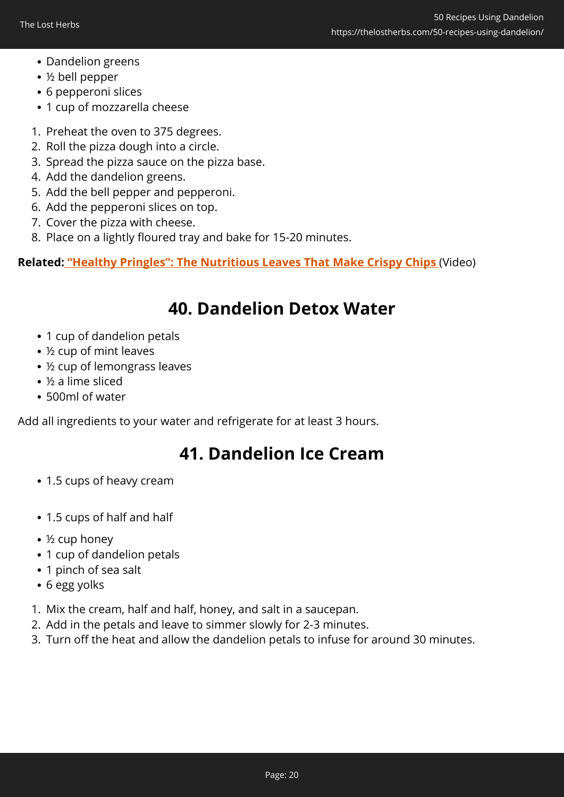- Dandelion greens
- ½ bell pepper
- 6 pepperoni slices
- 1 cup of mozzarella cheese
- 1. Preheat the oven to 375 degrees.
- 2. Roll the pizza dough into a circle.
- 3. Spread the pizza sauce on the pizza base.
- 4. Add the dandelion greens.
- 5. Add the bell pepper and pepperoni.
- 6. Add the pepperoni slices on top.
- 7. Cover the pizza with cheese.
- 8. Place on a lightly floured tray and bake for 15-20 minutes.

**Related: ["Healthy Pringles":](https://hop.clickbank.net/?affiliate=easycellar&vendor=wfguide&tid=C02FiftyDandelionFGW2) [The Nutritious Leaves That Make Crispy Chips](https://hop.clickbank.net/?affiliate=easycellar&vendor=wfguide&tid=C02FiftyDandelionFGW2)** (Video)

### **40. Dandelion Detox Water**

- 1 cup of dandelion petals
- ½ cup of mint leaves
- ½ cup of lemongrass leaves
- ½ a lime sliced
- 500ml of water

Add all ingredients to your water and refrigerate for at least 3 hours.

#### **41. Dandelion Ice Cream**

- 1.5 cups of heavy cream
- 1.5 cups of half and half
- ½ cup honey
- 1 cup of dandelion petals
- 1 pinch of sea salt
- 6 egg yolks
- 1. Mix the cream, half and half, honey, and salt in a saucepan.
- 2. Add in the petals and leave to simmer slowly for 2-3 minutes.
- 3. Turn off the heat and allow the dandelion petals to infuse for around 30 minutes.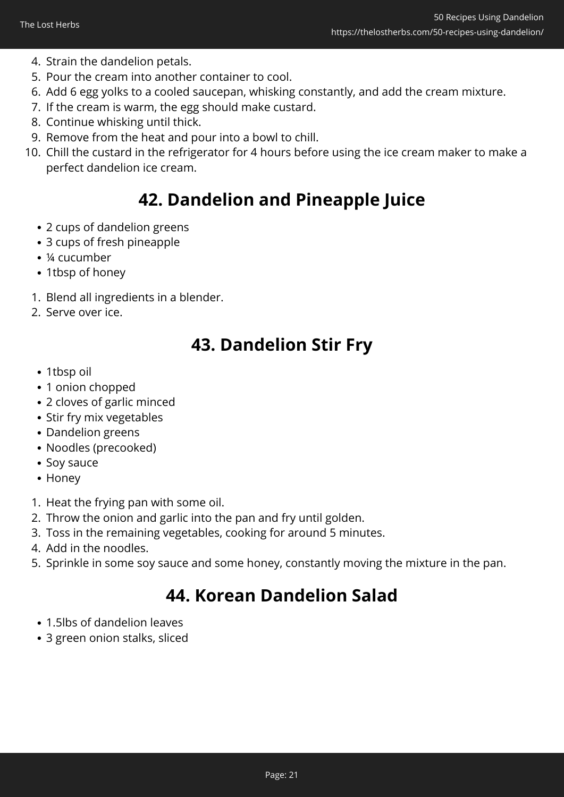- 4. Strain the dandelion petals.
- 5. Pour the cream into another container to cool.
- 6. Add 6 egg yolks to a cooled saucepan, whisking constantly, and add the cream mixture.
- 7. If the cream is warm, the egg should make custard.
- 8. Continue whisking until thick.
- 9. Remove from the heat and pour into a bowl to chill.
- 10. Chill the custard in the refrigerator for 4 hours before using the ice cream maker to make a perfect dandelion ice cream.

# **42. Dandelion and Pineapple Juice**

- 2 cups of dandelion greens
- 3 cups of fresh pineapple
- ¼ cucumber
- 1tbsp of honey
- 1. Blend all ingredients in a blender.
- 2. Serve over ice.

# **43. Dandelion Stir Fry**

- 1tbsp oil
- 1 onion chopped
- 2 cloves of garlic minced
- Stir fry mix vegetables
- Dandelion greens
- Noodles (precooked)
- Soy sauce
- Honey
- 1. Heat the frying pan with some oil.
- 2. Throw the onion and garlic into the pan and fry until golden.
- 3. Toss in the remaining vegetables, cooking for around 5 minutes.
- 4. Add in the noodles.
- 5. Sprinkle in some soy sauce and some honey, constantly moving the mixture in the pan.

# **44. Korean Dandelion Salad**

- 1.5lbs of dandelion leaves
- 3 green onion stalks, sliced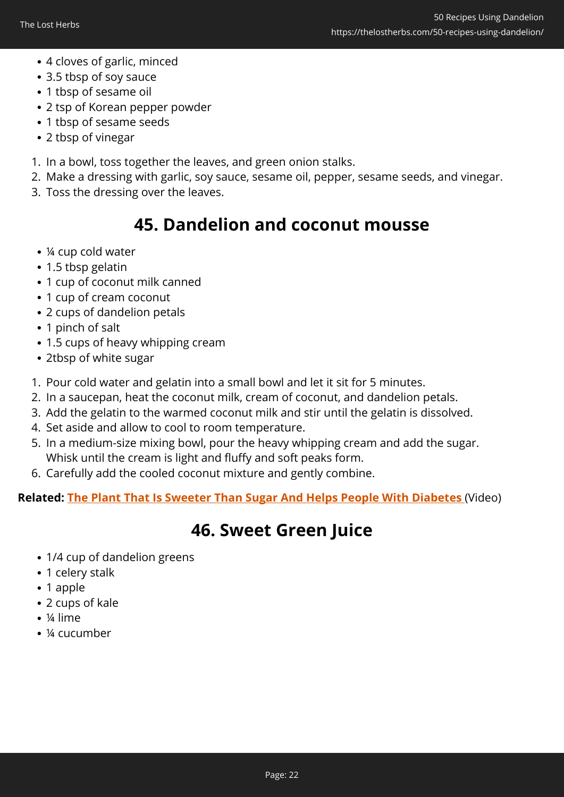- 4 cloves of garlic, minced
- 3.5 tbsp of soy sauce
- 1 tbsp of sesame oil
- 2 tsp of Korean pepper powder
- 1 tbsp of sesame seeds
- 2 tbsp of vinegar
- 1. In a bowl, toss together the leaves, and green onion stalks.
- 2. Make a dressing with garlic, soy sauce, sesame oil, pepper, sesame seeds, and vinegar.
- 3. Toss the dressing over the leaves.

# **45. Dandelion and coconut mousse**

- ¼ cup cold water
- 1.5 tbsp gelatin
- 1 cup of coconut milk canned
- 1 cup of cream coconut
- 2 cups of dandelion petals
- 1 pinch of salt
- 1.5 cups of heavy whipping cream
- 2tbsp of white sugar
- 1. Pour cold water and gelatin into a small bowl and let it sit for 5 minutes.
- 2. In a saucepan, heat the coconut milk, cream of coconut, and dandelion petals.
- 3. Add the gelatin to the warmed coconut milk and stir until the gelatin is dissolved.
- 4. Set aside and allow to cool to room temperature.
- 5. In a medium-size mixing bowl, pour the heavy whipping cream and add the sugar. Whisk until the cream is light and fluffy and soft peaks form.
- 6. Carefully add the cooled coconut mixture and gently combine.

**Related: [The Plant That Is Sweeter Than Sugar And Helps People With Diabetes](https://hop.clickbank.net/?affiliate=easycellar&vendor=wfguide&tid=C02FiftyDandelionFGW6)** (Video)

# **46. Sweet Green Juice**

- 1/4 cup of dandelion greens
- 1 celery stalk
- 1 apple
- 2 cups of kale
- ¼ lime
- ¼ cucumber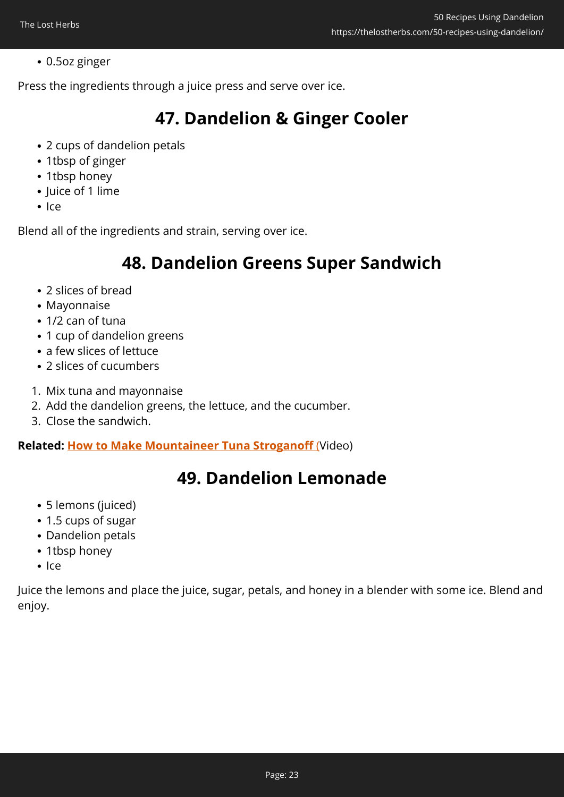#### 0.5oz ginger

Press the ingredients through a juice press and serve over ice.

# **47. Dandelion & Ginger Cooler**

- 2 cups of dandelion petals
- 1tbsp of ginger
- 1tbsp honey
- Juice of 1 lime
- $Ier$

Blend all of the ingredients and strain, serving over ice.

## **48. Dandelion Greens Super Sandwich**

- 2 slices of bread
- Mavonnaise
- 1/2 can of tuna
- 1 cup of dandelion greens
- a few slices of lettuce
- 2 slices of cucumbers
- 1. Mix tuna and mayonnaise
- 2. Add the dandelion greens, the lettuce, and the cucumber.
- 3. Close the sandwich.

**Related: [How to Make Mountaineer Tuna Stroganoff](https://hop.clickbank.net/?affiliate=easycellar&vendor=lostrec&tid=C02FiftyDandelionLSF7)** [\(](https://hop.clickbank.net/?affiliate=easycellar&vendor=lostrec&tid=C02FiftyDandelionLSF7)Video)

# **49. Dandelion Lemonade**

- 5 lemons (juiced)
- 1.5 cups of sugar
- Dandelion petals
- 1tbsp honey
- $Ier$

Juice the lemons and place the juice, sugar, petals, and honey in a blender with some ice. Blend and enjoy.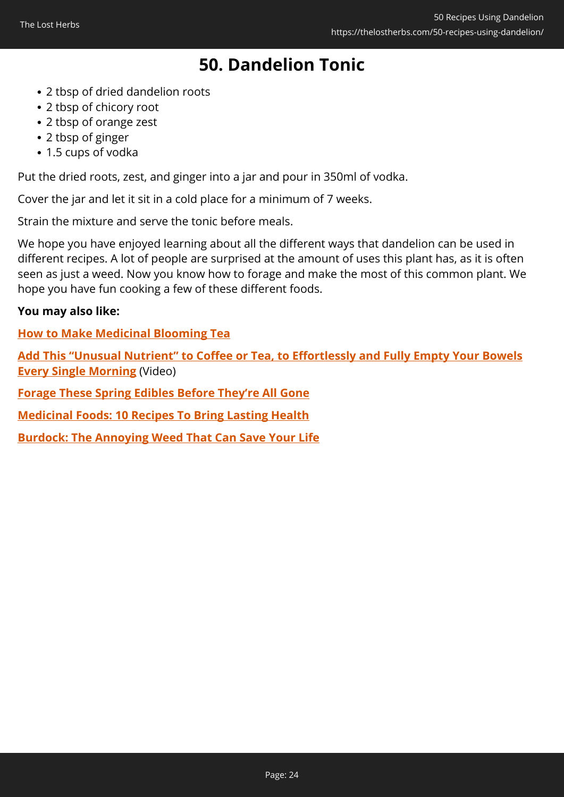# **50. Dandelion Tonic**

- 2 tbsp of dried dandelion roots
- 2 tbsp of chicory root
- 2 tbsp of orange zest
- 2 tbsp of ginger
- 1.5 cups of vodka

Put the dried roots, zest, and ginger into a jar and pour in 350ml of vodka.

Cover the jar and let it sit in a cold place for a minimum of 7 weeks.

Strain the mixture and serve the tonic before meals.

We hope you have enjoyed learning about all the different ways that dandelion can be used in different recipes. A lot of people are surprised at the amount of uses this plant has, as it is often seen as just a weed. Now you know how to forage and make the most of this common plant. We hope you have fun cooking a few of these different foods.

#### **You may also like:**

**[How to Make Medicinal Blooming Tea](https://thelostherbs.com/how-to-make-medicinal-blooming-tea/)**

**[Add This "Unusual Nutrient" to Coffee or Tea, to Effortlessly and Fully Empty Your Bowels](https://hop.clickbank.net/?affiliate=easycellar&vendor=peakbiome&tid=C02FiftyDandelionPBB) [Every Single Morning](https://hop.clickbank.net/?affiliate=easycellar&vendor=peakbiome&tid=C02FiftyDandelionPBB)** (Video)

**[Forage These Spring Edibles Before They're All Gone](https://thelostherbs.com/forage-these-spring-edibles-before-theyre-all-gone/)**

**[Medicinal Foods: 10 Recipes To Bring Lasting Health](https://thelostherbs.com/medicinal-foods-10-recipes-to-bring-lasting-health/)**

**[Burdock: The Annoying Weed That Can Save Your Life](https://thelostherbs.com/burdock-the-annoying-weed-that-can-save-your-life/)**